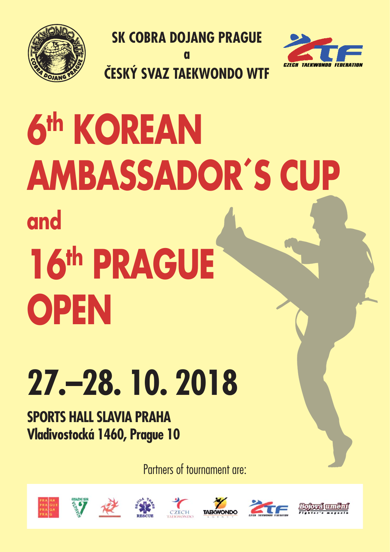

**SK COBRA DOJANG PRAGUE**

**a**

**ČESKÝ SVAZ TAEKWONDO WTF**



# **6th KOREAN AMBASSADOR´S CUP and 16th PRAGUE OPEN**

## **27.–28. 10. 2018**

**SPORTS HALL SLAVIA PRAHA Vladivostocká 1460, Prague 10**

Partners of tournament are:













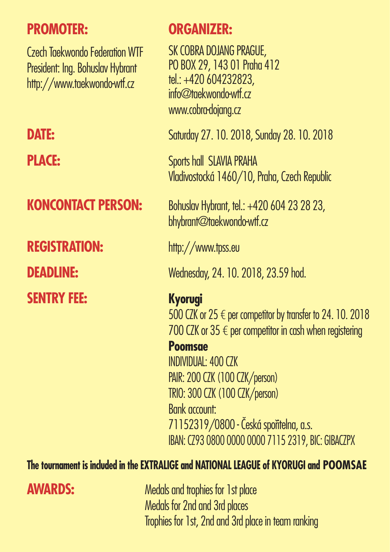### **PROMOTER:**

Czech Taekwondo Federation WTF President: Ing. Bohuslav Hybrant http://www.taekwondo-wtf.cz

## **REGISTRATION:** http://www.tpss.eu **SENTRY FEE: Kyorugi**

### **ORGANIZER:**

SK COBRA DOJANG PRAGUE, PO BOX 29, 143 01 Praha 412 tel.: +420 604232823, info@taekwondo-wtf.cz www.cobra-dojang.cz

**DATE:** Saturday 27. 10. 2018, Sunday 28. 10. 2018

**PLACE:** Sports hall SLAVIA PRAHA Vladivostocká 1460/10, Praha, Czech Republic

**KONCONTACT PERSON:** Bohuslav Hybrant, tel.: +420 604 23 28 23, bhybrant@taekwondo-wtf.cz

**DEADLINE:** Wednesday, 24. 10. 2018, 23.59 hod.

500 CZK or  $25 \in$  per competitor by transfer to 24. 10. 2018 700 CZK or  $35 \notin$  per competitor in cash when registering **Poomsae** INDIVIDUAL: 400 CZK PAIR: 200 CZK (100 CZK/person) TRIO: 300 CZK (100 CZK/person) Bank account: 71152319/0800 - Česká spořitelna, a.s. IBAN: CZ93 0800 0000 0000 7115 2319, BIC: GIBACZPX

### **The tournament is included in the EXTRALIGE and NATIONAL LEAGUE of KYORUGI and POOMSAE**

**AWARDS:** Medals and trophies for 1st place Medals for 2nd and 3rd places Trophies for 1st, 2nd and 3rd place in team ranking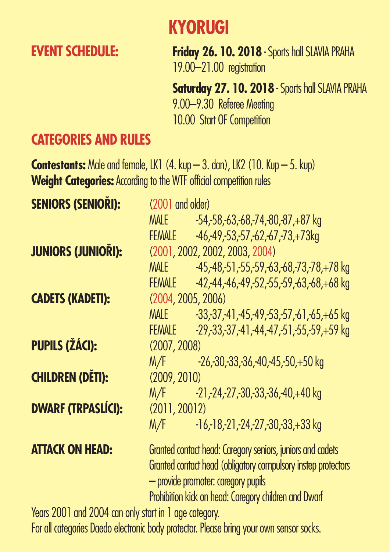### **KYORUGI**

**EVENT SCHEDULE: Friday 26. 10. 2018** - Sports hall SLAVIA PRAHA 19.00–21.00 registration

> **Saturday 27. 10. 2018** - Sports hall SLAVIA PRAHA 9.00–9.30 Referee Meeting 10.00 Start OF Competition

### **CATEGORIES AND RULES**

**Contestants:** Male and female, LK1 (4. kup – 3. dan), LK2 (10. Kup – 5. kup) **Weight Categories:** According to the WTF official competition rules

| <b>SENIORS (SENIORI):</b> | (2001 and older)                                                                                                                                                                                                            |                                                       |  |
|---------------------------|-----------------------------------------------------------------------------------------------------------------------------------------------------------------------------------------------------------------------------|-------------------------------------------------------|--|
|                           | MALE                                                                                                                                                                                                                        | $-54, -58, -63, -68, -74, -80, -87, +87$ kg           |  |
|                           | <b>FEMALE</b>                                                                                                                                                                                                               | $-46, -49, -53, -57, -62, -67, -73, +73$ kg           |  |
| <b>JUNIORS (JUNIORI):</b> | (2001, 2002, 2002, 2003, 2004)                                                                                                                                                                                              |                                                       |  |
|                           | <b>MALE</b>                                                                                                                                                                                                                 | $-45, -48, -51, -55, -59, -63, -68, -73, -78, +78$ kg |  |
|                           | <b>FEMALE</b>                                                                                                                                                                                                               | $-42, -44, -46, -49, -52, -55, -59, -63, -68, +68$ kg |  |
| <b>CADETS (KADETI):</b>   | (2004, 2005, 2006)                                                                                                                                                                                                          |                                                       |  |
|                           | MALE                                                                                                                                                                                                                        | $-33, -37, -41, -45, -49, -53, -57, -61, -65, +65$ kg |  |
|                           | <b>FEMALE</b>                                                                                                                                                                                                               | $-29, -33, -37, -41, -44, -47, -51, -55, -59, +59$ kg |  |
| <b>PUPILS (ŽÁCI):</b>     | (2007, 2008)                                                                                                                                                                                                                |                                                       |  |
|                           | M/F                                                                                                                                                                                                                         | $-26, -30, -33, -36, -40, -45, -50, +50$ kg           |  |
| <b>CHILDREN (DĚTI):</b>   | (2009, 2010)                                                                                                                                                                                                                |                                                       |  |
|                           | M/F                                                                                                                                                                                                                         | $-21, -24, -27, -30, -33, -36, -40, +40$ kg           |  |
| <b>DWARF (TRPASLÍCI):</b> | (2011, 20012)                                                                                                                                                                                                               |                                                       |  |
|                           | M/F                                                                                                                                                                                                                         | $-16, -18, -21, -24, -27, -30, -33, +33$ kg           |  |
| <b>ATTACK ON HEAD:</b>    | Granted contact head: Caregory seniors, juniors and cadets<br>Granted contact head (obligatory compulsory instep protectors<br>- provide promoter: caregory pupils<br>Prohibition kick on head: Caregory children and Dwarf |                                                       |  |

Years 2001 and 2004 can only start in 1 age category.

For all categories Daedo electronic body protector. Please bring your own sensor socks.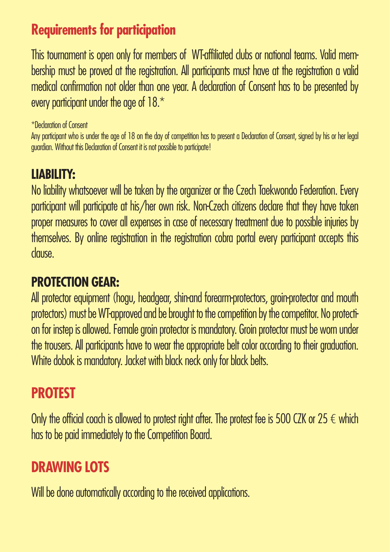### **Requirements for participation**

This tournament is open only for members of WT-affiliated clubs or national teams. Valid membership must be proved at the registration. All participants must have at the registration a valid medical confirmation not older than one year. A declaration of Consent has to be presented by every participant under the age of  $18.*$ 

\*Declaration of Consent

Any participant who is under the age of 18 on the day of competition has to present a Declaration of Consent, signed by his or her legal guardian. Without this Declaration of Consent it is not possible to participate!

### **LIABILITY:**

No liability whatsoever will be taken by the organizer or the Czech Taekwondo Federation. Every participant will participate at his/her own risk. Non-Czech citizens declare that they have taken proper measures to cover all expenses in case of necessary treatment due to possible injuries by themselves. By online registration in the registration cobra portal every participant accepts this clause.

### **PROTECTION GEAR:**

All protector equipment (hogu, headgear, shin-and forearm-protectors, groin-protector and mouth protectors) must be WT-approved and be brought to the competition by the competitor. No protection for instep is allowed. Female groin protector is mandatory. Groin protector must be worn under the trousers. All participants have to wear the appropriate belt color according to their graduation. White dobok is mandatory. Jacket with black neck only for black belts.

### **PROTEST**

Only the official coach is allowed to protest right after. The protest fee is 500 CZK or 25  $\epsilon$  which has to be paid immediately to the Competition Board.

### **DRAWING LOTS**

Will be done automatically according to the received applications.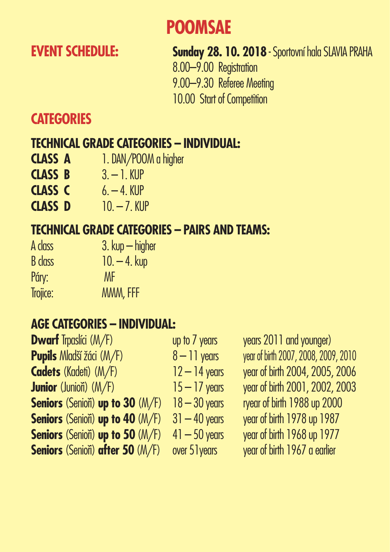### **POOMSAE**

### **EVENT SCHEDULE:** Sunday 28. 10. 2018 - Sportovní hala SLAVIA PRAHA

 8.00–9.00 Registration 9.00–9.30 Referee Meeting 10.00 Start of Competition

### **CATEGORIES**

### **TECHNICAL GRADE CATEGORIES – INDIVIDUAL:**

- **CLASS A** 1. DAN/POOM a higher
- **CLASS B** 3. 1. KUP
- **CLASS C** 6. 4. KUP
- **CLASS D** 10. 7. KUP

### **TECHNICAL GRADE CATEGORIES – PAIRS AND TEAMS:**

A class 3. kup – higher  $B$  class  $10. - 4$ . kup Páry: MF Trojice: MMM, FFF

### **AGE CATEGORIES – INDIVIDUAL:**

| <b>Dwarf</b> Trpaslíci (M/F)            | up to $71$ |
|-----------------------------------------|------------|
| <b>Pupils</b> Mladší žáci (M/F)         | $8 - 11$   |
| <b>Cadets</b> (Kadeti) (M/F)            | $12 - 14$  |
| <b>Junior</b> (Juniori) $(M/F)$         | $15 - 17$  |
| <b>Seniors</b> (Seniori) up to 30 (M/F) | $18 - 30$  |
| <b>Seniors (Seniori) up to 40 (M/F)</b> | $31 - 40$  |
| <b>Seniors</b> (Seniori) up to 50 (M/F) | $41 - 50$  |
| <b>Seniors</b> (Seniori) after 50 (M/F) | over $51$  |

years *Trears 2011* and younger) **Pupils 7 – Vear of birth 2007, 2008, 2009, 2010 Cadets** (Kadeti) (M/F) 12 – 14 years year of birth 2004, 2005, 2006 V years **year of birth 2001, 2002, 2003 Seniors** (Senioři) **up to 30** (M/F) 18 – 30 years ryear of birth 1988 up 2000 **Seniors** (Senioři) **up to 40** (M/F) 31 – 40 years year of birth 1978 up 1987 **Seniors** (Senioři) **up to 50** (M/F) 41 – 50 years year of birth 1968 up 1977 **Seniors** (Senioři) **after 50** (M/F) over 51years year of birth 1967 a earlier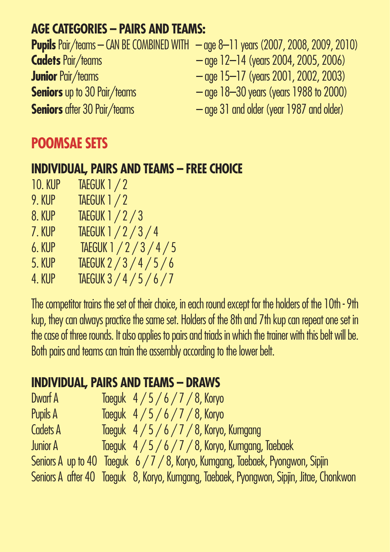### **AGE CATEGORIES – PAIRS AND TEAMS:**

|                                    | <b>Pupils</b> Pair/teams — CAN BE COMBINED WITH $-$ age 8–11 years (2007, 2008, 2009, 2010) |
|------------------------------------|---------------------------------------------------------------------------------------------|
| <b>Cadets Pair/teams</b>           | $-$ age 12–14 (years 2004, 2005, 2006)                                                      |
| <b>Junior</b> Pair/teams           | $-$ age 15–17 (years 2001, 2002, 2003)                                                      |
| <b>Seniors</b> up to 30 Pair/teams | $-$ age 18–30 years (years 1988 to 2000)                                                    |
| <b>Seniors</b> after 30 Pair/teams | - age 31 and older (year 1987 and older)                                                    |

### **POOMSAE SETS**

### **INDIVIDUAL, PAIRS AND TEAMS – FREE CHOICE**

- 10. KUP TAEGUK 1 / 2
- 9. KUP TAEGUK 1 / 2
- 8. KUP TAEGUK 1 / 2 / 3
- 7. KUP TAEGUK 1 / 2 / 3 / 4
- 6. KUP TAEGUK 1 / 2 / 3 / 4 / 5
- 5. KUP TAEGUK 2 / 3 / 4 / 5 / 6
- 4. KUP TAEGUK 3 / 4 / 5 / 6 / 7

The competitor trains the set of their choice, in each round except for the holders of the 10th - 9th kup, they can always practice the same set. Holders of the 8th and 7th kup can repeat one set in the case of three rounds. It also applies to pairs and triads in which the trainer with this belt will be. Both pairs and teams can train the assembly according to the lower belt.

### **INDIVIDUAL, PAIRS AND TEAMS – DRAWS**

| Dwarf A         | Taeguk $4/5/6/7/8$ , Koryo                                                              |
|-----------------|-----------------------------------------------------------------------------------------|
| Pupils A        | Taeguk $4/5/6/7/8$ , Koryo                                                              |
| <b>Cadets A</b> | Taeguk $4/5/6/7/8$ , Koryo, Kumgang                                                     |
| <b>Junior A</b> | Taeguk 4 / 5 / 6 / 7 / 8, Koryo, Kumgang, Taebaek                                       |
|                 | Seniors A up to 40 Taeguk 6 / 7 / 8, Koryo, Kumgang, Taebaek, Pyongwon, Sipjin          |
|                 | Seniors A after 40 Taeguk 8, Koryo, Kumgang, Taebaek, Pyongwon, Sipjin, Jitae, Chonkwon |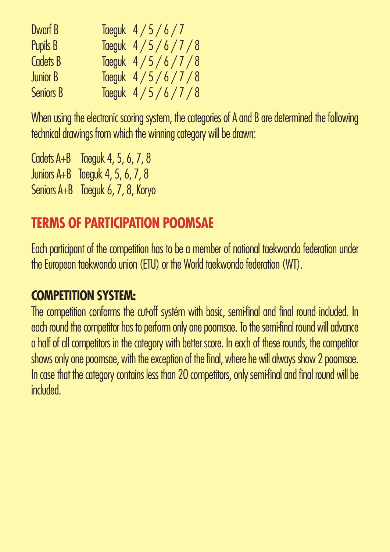| Dwarf B          | Taeguk $4/5/6/7$   |
|------------------|--------------------|
| Pupils B         | Taeguk $4/5/6/7/8$ |
| <b>Cadets B</b>  | Taeguk $4/5/6/7/8$ |
| <b>Junior B</b>  | Taeguk $4/5/6/7/8$ |
| <b>Seniors B</b> | Taeguk $4/5/6/7/8$ |

When using the electronic scoring system, the categories of A and B are determined the following technical drawings from which the winning category will be drawn:

Cadets A+B Taeguk 4, 5, 6, 7, 8 Juniors A+B Taeguk 4, 5, 6, 7, 8 Seniors A+B Taeguk 6, 7, 8, Koryo

### **TERMS OF PARTICIPATION POOMSAE**

Each participant of the competition has to be a member of national taekwondo federation under the European taekwondo union (ETU) or the World taekwondo federation (WT).

### **COMPETITION SYSTEM:**

The competition conforms the cut-off systém with basic, semi-final and final round included. In each round the competitor has to perform only one poomsae. To the semi-final round will advance a half of all competitors in the category with better score. In each of these rounds, the competitor shows only one poomsae, with the exception of the final, where he will always show 2 poomsae. In case that the category contains less than 20 competitors, only semi-final and final round will be included.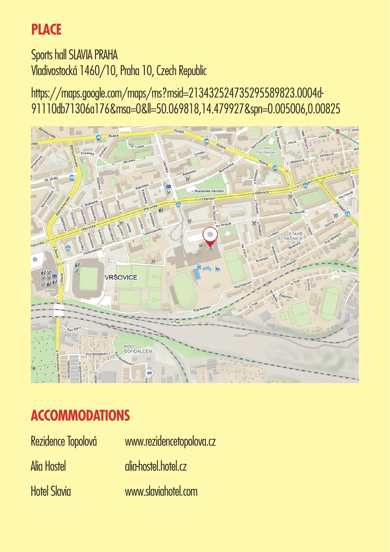### **PLACE**

Sports hall SLAVIA PRAHA Vladivostocká 1460/10, Praha 10, Czech Republic

https://maps.google.com/maps/ms?msid=213432524735295589823.0004d-91110db71306a176&msa=0&ll=50.069818,14.479927&spn=0.005006,0.00825



### **ACCOMMODATIONS**

| Rezidence Topolová  | www.rezidencetopolova.cz |
|---------------------|--------------------------|
| Alia Hostel         | glig-hostel.hotel.cz     |
| <b>Hotel Slavia</b> | www.slaviahotel.com      |